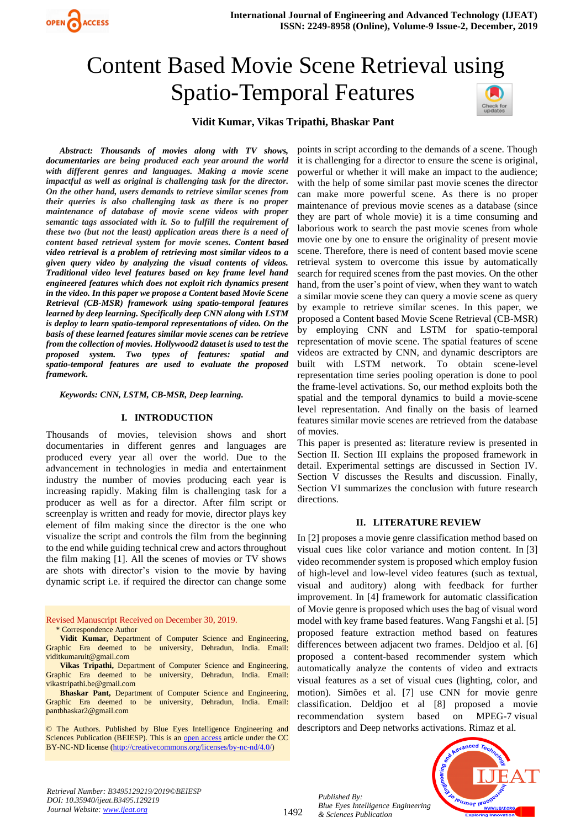

# Content Based Movie Scene Retrieval using Spatio-Temporal Features



# **Vidit Kumar, Vikas Tripathi, Bhaskar Pant**

*Abstract: Thousands of movies along with TV shows, documentaries are being produced each year around the world with different genres and languages. Making a movie scene impactful as well as original is challenging task for the director. On the other hand, users demands to retrieve similar scenes from their queries is also challenging task as there is no proper maintenance of database of movie scene videos with proper semantic tags associated with it. So to fulfill the requirement of these two (but not the least) application areas there is a need of content based retrieval system for movie scenes. Content based video retrieval is a problem of retrieving most similar videos to a given query video by analyzing the visual contents of videos. Traditional video level features based on key frame level hand engineered features which does not exploit rich dynamics present in the video. In this paper we propose a Content based Movie Scene Retrieval (CB-MSR) framework using spatio-temporal features learned by deep learning. Specifically deep CNN along with LSTM is deploy to learn spatio-temporal representations of video. On the basis of these learned features similar movie scenes can be retrieve from the collection of movies. Hollywood2 dataset is used to test the proposed system. Two types of features: spatial and spatio-temporal features are used to evaluate the proposed framework.*

*Keywords: CNN, LSTM, CB-MSR, Deep learning.*

#### **I. INTRODUCTION**

Thousands of movies, television shows and short documentaries in different genres and languages are produced every year all over the world. Due to the advancement in technologies in media and entertainment industry the number of movies producing each year is increasing rapidly. Making film is challenging task for a producer as well as for a director. After film script or screenplay is written and ready for movie, director plays key element of film making since the director is the one who visualize the script and controls the film from the beginning to the end while guiding technical crew and actors throughout the film making [1]. All the scenes of movies or TV shows are shots with director's vision to the movie by having dynamic script i.e. if required the director can change some

Revised Manuscript Received on December 30, 2019. \* Correspondence Author

**Vidit Kumar,** Department of Computer Science and Engineering, Graphic Era deemed to be university, Dehradun, India. Email: viditkumaruit@gmail.com

**Vikas Tripathi,** Department of Computer Science and Engineering, Graphic Era deemed to be university, Dehradun, India. Email: [vikastripathi.be@gmail.com](mailto:vikastripathi.be@gmail.com)

**Bhaskar Pant,** Department of Computer Science and Engineering, Graphic Era deemed to be university, Dehradun, India. Email: [pantbhaskar2@gmail.com](mailto:pantbhaskar2@gmail.com)

© The Authors. Published by Blue Eyes Intelligence Engineering and Sciences Publication (BEIESP). This is a[n open access](https://www.openaccess.nl/en/open-publications) article under the CC BY-NC-ND license [\(http://creativecommons.org/licenses/by-nc-nd/4.0/\)](http://creativecommons.org/licenses/by-nc-nd/4.0/)

points in script according to the demands of a scene. Though it is challenging for a director to ensure the scene is original, powerful or whether it will make an impact to the audience; with the help of some similar past movie scenes the director can make more powerful scene. As there is no proper maintenance of previous movie scenes as a database (since they are part of whole movie) it is a time consuming and laborious work to search the past movie scenes from whole movie one by one to ensure the originality of present movie scene. Therefore, there is need of content based movie scene retrieval system to overcome this issue by automatically search for required scenes from the past movies. On the other hand, from the user's point of view, when they want to watch a similar movie scene they can query a movie scene as query by example to retrieve similar scenes. In this paper, we proposed a Content based Movie Scene Retrieval (CB-MSR) by employing CNN and LSTM for spatio-temporal representation of movie scene. The spatial features of scene videos are extracted by CNN, and dynamic descriptors are built with LSTM network. To obtain scene-level representation time series pooling operation is done to pool the frame-level activations. So, our method exploits both the spatial and the temporal dynamics to build a movie-scene level representation. And finally on the basis of learned features similar movie scenes are retrieved from the database of movies.

This paper is presented as: literature review is presented in Section II. Section III explains the proposed framework in detail. Experimental settings are discussed in Section IV. Section V discusses the Results and discussion. Finally, Section VI summarizes the conclusion with future research directions.

#### **II. LITERATURE REVIEW**

In [2] proposes a movie genre classification method based on visual cues like color variance and motion content. In [3] video recommender system is proposed which employ fusion of high-level and low-level video features (such as textual, visual and auditory) along with feedback for further improvement. In [4] framework for automatic classification of Movie genre is proposed which uses the bag of visual word model with key frame based features. Wang Fangshi et al. [5] proposed feature extraction method based on features differences between adjacent two frames. Deldjoo et al. [6] proposed a content-based recommender system which automatically analyze the contents of video and extracts visual features as a set of visual cues (lighting, color, and motion). Simões et al. [7] use CNN for movie genre classification. Deldjoo et al [8] proposed a movie recommendation system based on MPEG-7 visual descriptors and Deep networks activations. Rimaz et al.



1492

*Published By: Blue Eyes Intelligence Engineering & Sciences Publication* 

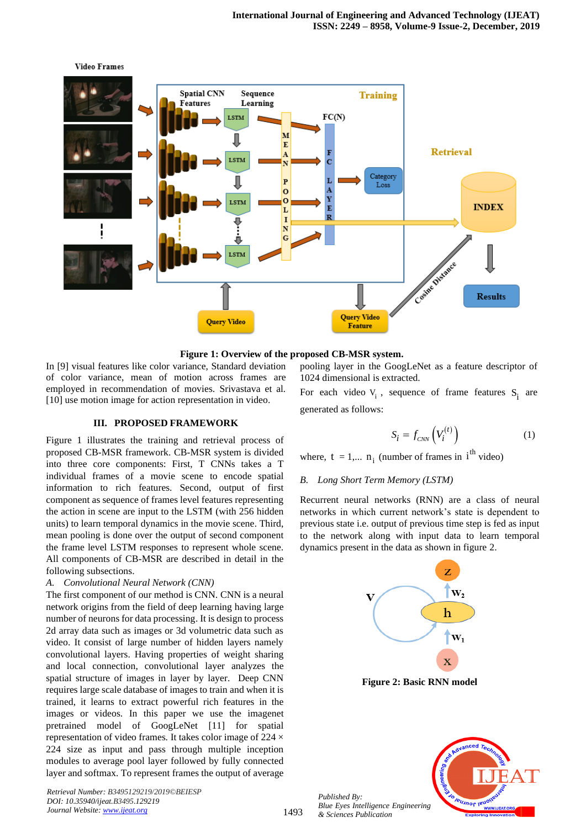

#### **Figure 1: Overview of the proposed CB-MSR system.**

In [9] visual features like color variance, Standard deviation of color variance, mean of motion across frames are employed in recommendation of movies. Srivastava et al. [10] use motion image for action representation in video.

#### **III. PROPOSED FRAMEWORK**

Figure 1 illustrates the training and retrieval process of proposed CB-MSR framework. CB-MSR system is divided into three core components: First, T CNNs takes a T individual frames of a movie scene to encode spatial information to rich features. Second, output of first component as sequence of frames level features representing the action in scene are input to the LSTM (with 256 hidden units) to learn temporal dynamics in the movie scene. Third, mean pooling is done over the output of second component the frame level LSTM responses to represent whole scene. All components of CB-MSR are described in detail in the following subsections.

# *A. Convolutional Neural Network (CNN)*

The first component of our method is CNN. CNN is a neural network origins from the field of deep learning having large number of neurons for data processing. It is design to process 2d array data such as images or 3d volumetric data such as video. It consist of large number of hidden layers namely convolutional layers. Having properties of weight sharing and local connection, convolutional layer analyzes the spatial structure of images in layer by layer. Deep CNN requires large scale database of images to train and when it is trained, it learns to extract powerful rich features in the images or videos. In this paper we use the imagenet pretrained model of GoogLeNet [11] for spatial representation of video frames. It takes color image of 224 × 224 size as input and pass through multiple inception modules to average pool layer followed by fully connected layer and softmax. To represent frames the output of average

*Retrieval Number: B3495129219/2019©BEIESP DOI: 10.35940/ijeat.B3495.129219 Journal Website[: www.ijeat.org](http://www.ijeat.org/)*

pooling layer in the GoogLeNet as a feature descriptor of 1024 dimensional is extracted.

For each video  $V_i$ , sequence of frame features  $S_i$  are generated as follows:

$$
S_i = f_{\text{CNN}}\left(V_i^{(t)}\right) \tag{1}
$$

where,  $t = 1,... n_i$  (number of frames in  $i<sup>th</sup>$  video)

# *B. Long Short Term Memory (LSTM)*

Recurrent neural networks (RNN) are a class of neural networks in which current network's state is dependent to previous state i.e. output of previous time step is fed as input to the network along with input data to learn temporal dynamics present in the data as shown in figure 2.



**Figure 2: Basic RNN model**



*Published By: Blue Eyes Intelligence Engineering & Sciences Publication*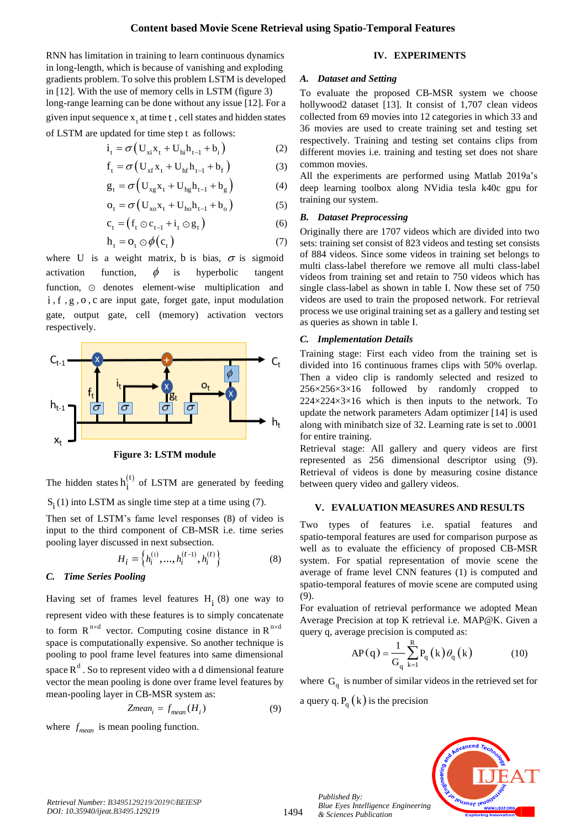(2)

RNN has limitation in training to learn continuous dynamics in long-length, which is because of vanishing and exploding gradients problem. To solve this problem LSTM is developed in [12]. With the use of memory cells in LSTM (figure 3) long-range learning can be done without any issue [12]. For a

given input sequence  $x_t$  at time  $t$ , cell states and hidden states of LSTM are updated for time step t as follows:

$$
\mathbf{i}_{\mathbf{t}} = \sigma \left( \mathbf{U}_{\mathbf{x}i} \mathbf{x}_{\mathbf{t}} + \mathbf{U}_{\mathbf{hi}} \mathbf{h}_{\mathbf{t}-1} + \mathbf{b}_{\mathbf{i}} \right)
$$

$$
f_{t} = \sigma \left( U_{xf} x_{t} + U_{hf} h_{t-1} + b_{f} \right)
$$
 (3)

$$
g_t = \sigma \left( U_{xg} x_t + U_{hg} h_{t-1} + b_g \right) \tag{4}
$$

$$
o_{t} = \sigma (U_{xo}x_{t} + U_{ho}h_{t-1} + b_{o})
$$
 (5)

$$
c_t = (f_t \odot c_{t-1} + i_t \odot g_t)
$$
 (6)

$$
h_t = o_t \odot \phi(c_t) \tag{7}
$$

where U is a weight matrix, b is bias,  $\sigma$  is sigmoid activation function,  $\phi$ is hyperbolic tangent function,  $\odot$  denotes element-wise multiplication and i , <sup>f</sup> , <sup>g</sup> , <sup>o</sup> , <sup>c</sup> are input gate, forget gate, input modulation gate, output gate, cell (memory) activation vectors respectively.



**Figure 3: LSTM module**

The hidden states  $h_i^{(t)}$  of LSTM are generated by feeding  $S_i(1)$  into LSTM as single time step at a time using (7).

Then set of LSTM's fame level responses (8) of video is input to the third component of CB-MSR i.e. time series pooling layer discussed in next subsection.

$$
H_i = \left\{ h_i^{(1)}, \dots, h_i^{(t-1)}, h_i^{(t)} \right\}
$$
 (8)

# *C. Time Series Pooling*

Having set of frames level features  $H_i(8)$  one way to represent video with these features is to simply concatenate to form  $R^{n \times d}$  vector. Computing cosine distance in  $R^{n \times d}$ space is computationally expensive. So another technique is pooling to pool frame level features into same dimensional space  $R^d$ . So to represent video with a d dimensional feature vector the mean pooling is done over frame level features by mean-pooling layer in CB-MSR system as:

$$
Zmean_i = f_{mean}(H_i)
$$
 (9)

where  $f_{mean}$  is mean pooling function.

# **IV. EXPERIMENTS**

#### *A. Dataset and Setting*

To evaluate the proposed CB-MSR system we choose hollywood2 dataset [13]. It consist of 1,707 clean videos collected from 69 movies into 12 categories in which 33 and 36 movies are used to create training set and testing set respectively. Training and testing set contains clips from different movies i.e. training and testing set does not share common movies.

All the experiments are performed using Matlab 2019a's deep learning toolbox along NVidia tesla k40c gpu for training our system.

# *B. Dataset Preprocessing*

Originally there are 1707 videos which are divided into two sets: training set consist of 823 videos and testing set consists of 884 videos. Since some videos in training set belongs to multi class-label therefore we remove all multi class-label videos from training set and retain to 750 videos which has single class-label as shown in table I. Now these set of 750 videos are used to train the proposed network. For retrieval process we use original training set as a gallery and testing set as queries as shown in table I.

# *C. Implementation Details*

Training stage: First each video from the training set is divided into 16 continuous frames clips with 50% overlap. Then a video clip is randomly selected and resized to  $256\times256\times3\times16$  followed by randomly cropped to  $224 \times 224 \times 3 \times 16$  which is then inputs to the network. To update the network parameters Adam optimizer [14] is used along with minibatch size of 32. Learning rate is set to .0001 for entire training.

Retrieval stage: All gallery and query videos are first represented as 256 dimensional descriptor using (9). Retrieval of videos is done by measuring cosine distance between query video and gallery videos.

# **V. EVALUATION MEASURES AND RESULTS**

Two types of features i.e. spatial features and spatio-temporal features are used for comparison purpose as well as to evaluate the efficiency of proposed CB-MSR system. For spatial representation of movie scene the average of frame level CNN features (1) is computed and spatio-temporal features of movie scene are computed using (9).

For evaluation of retrieval performance we adopted Mean Average Precision at top K retrieval i.e. MAP@K. Given a query q, average precision is computed as:

$$
AP(q) = \frac{1}{G_q} \sum_{k=1}^{R} P_q(k) \theta_q(k)
$$
 (10)

where  $G_q$  is number of similar videos in the retrieved set for a query q.  $P_q(k)$  is the precision



*Published By:*

*& Sciences Publication*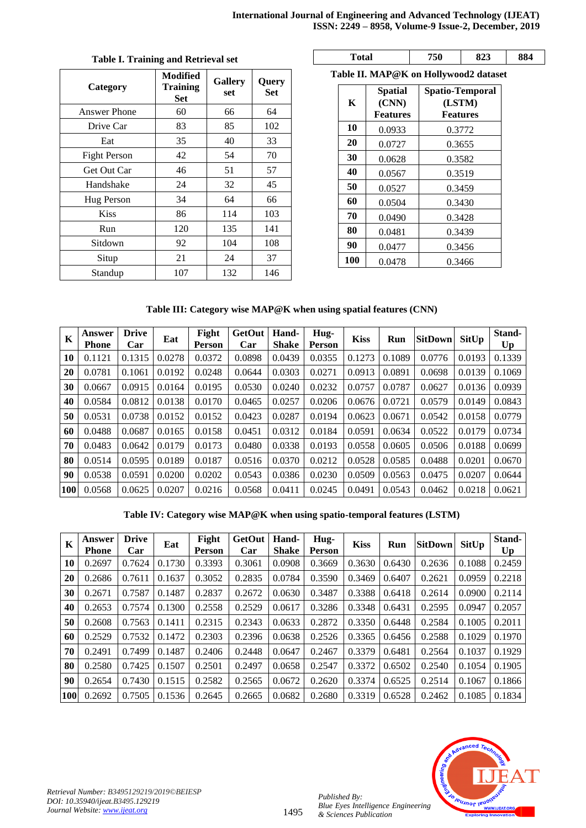| Category            | <b>Modified</b><br><b>Training</b><br><b>Set</b> | <b>Gallery</b><br>set | <b>Query</b><br><b>Set</b> |  |
|---------------------|--------------------------------------------------|-----------------------|----------------------------|--|
| <b>Answer Phone</b> | 60                                               | 66                    | 64                         |  |
| Drive Car           | 83                                               | 85                    | 102                        |  |
| Eat                 | 35                                               | 40                    | 33                         |  |
| <b>Fight Person</b> | 42                                               | 54                    | 70<br>57                   |  |
| Get Out Car         | 46                                               | 51                    |                            |  |
| Handshake           | 24                                               | 32                    | 45                         |  |
| Hug Person          | 34                                               | 64                    | 66                         |  |
| <b>Kiss</b>         | 86                                               | 114                   | 103                        |  |
| Run                 | 120                                              | 135                   | 141                        |  |
| Sitdown             | 92                                               | 104                   | 108                        |  |
| Situp               | 21                                               | 24                    | 37                         |  |
| Standup             | 107                                              | 132                   | 146                        |  |

# **Table I. Training and Retrieval set**

**Total 750 823 884**

**Table II. MAP@K on Hollywood2 dataset**

| K   | <b>Spatial</b><br>(CNN)<br><b>Features</b> | <b>Spatio-Temporal</b><br>(LSTM)<br><b>Features</b> |  |  |  |  |  |
|-----|--------------------------------------------|-----------------------------------------------------|--|--|--|--|--|
| 10  | 0.0933                                     | 0.3772                                              |  |  |  |  |  |
| 20  | 0.0727                                     | 0.3655                                              |  |  |  |  |  |
| 30  | 0.0628                                     | 0.3582                                              |  |  |  |  |  |
| 40  | 0.0567                                     | 0.3519                                              |  |  |  |  |  |
| 50  | 0.0527                                     | 0.3459                                              |  |  |  |  |  |
| 60  | 0.0504                                     | 0.3430                                              |  |  |  |  |  |
| 70  | 0.0490                                     | 0.3428                                              |  |  |  |  |  |
| 80  | 0.0481                                     | 0.3439                                              |  |  |  |  |  |
| 90  | 0.0477                                     | 0.3456                                              |  |  |  |  |  |
| 100 | 0.0478                                     | 0.3466                                              |  |  |  |  |  |

# **Table III: Category wise MAP@K when using spatial features (CNN)**

| K          | Answer<br><b>Phone</b> | <b>Drive</b><br>Car | Eat    | Fight<br>Person | <b>GetOut</b><br>Car | Hand-<br><b>Shake</b> | Hug-<br>Person | <b>Kiss</b> | Run    | <b>SitDown</b> | SitUp  | Stand-<br>Up |
|------------|------------------------|---------------------|--------|-----------------|----------------------|-----------------------|----------------|-------------|--------|----------------|--------|--------------|
| 10         | 0.1121                 | 0.1315              | 0.0278 | 0.0372          | 0.0898               | 0.0439                | 0.0355         | 0.1273      | 0.1089 | 0.0776         | 0.0193 | 0.1339       |
| 20         | 0.0781                 | 0.1061              | 0.0192 | 0.0248          | 0.0644               | 0.0303                | 0.0271         | 0.0913      | 0.0891 | 0.0698         | 0.0139 | 0.1069       |
| 30         | 0.0667                 | 0.0915              | 0.0164 | 0.0195          | 0.0530               | 0.0240                | 0.0232         | 0.0757      | 0.0787 | 0.0627         | 0.0136 | 0.0939       |
| 40         | 0.0584                 | 0.0812              | 0.0138 | 0.0170          | 0.0465               | 0.0257                | 0.0206         | 0.0676      | 0.0721 | 0.0579         | 0.0149 | 0.0843       |
| 50         | 0.0531                 | 0.0738              | 0.0152 | 0.0152          | 0.0423               | 0.0287                | 0.0194         | 0.0623      | 0.0671 | 0.0542         | 0.0158 | 0.0779       |
| 60         | 0.0488                 | 0.0687              | 0.0165 | 0.0158          | 0.0451               | 0.0312                | 0.0184         | 0.0591      | 0.0634 | 0.0522         | 0.0179 | 0.0734       |
| 70         | 0.0483                 | 0.0642              | 0.0179 | 0.0173          | 0.0480               | 0.0338                | 0.0193         | 0.0558      | 0.0605 | 0.0506         | 0.0188 | 0.0699       |
| 80         | 0.0514                 | 0.0595              | 0.0189 | 0.0187          | 0.0516               | 0.0370                | 0.0212         | 0.0528      | 0.0585 | 0.0488         | 0.0201 | 0.0670       |
| 90         | 0.0538                 | 0.0591              | 0.0200 | 0.0202          | 0.0543               | 0.0386                | 0.0230         | 0.0509      | 0.0563 | 0.0475         | 0.0207 | 0.0644       |
| <b>100</b> | 0.0568                 | 0.0625              | 0.0207 | 0.0216          | 0.0568               | 0.0411                | 0.0245         | 0.0491      | 0.0543 | 0.0462         | 0.0218 | 0.0621       |

**Table IV: Category wise MAP@K when using spatio-temporal features (LSTM)**

| K          | Answer<br>Phone | <b>Drive</b><br>Car | Eat    | Fight<br>Person | <b>GetOut</b><br>Car | Hand-<br><b>Shake</b> | Hug-<br>Person | <b>Kiss</b> | Run    | <b>SitDown</b> | SitUp  | Stand-<br>Up |
|------------|-----------------|---------------------|--------|-----------------|----------------------|-----------------------|----------------|-------------|--------|----------------|--------|--------------|
| 10         | 0.2697          | 0.7624              | 0.1730 | 0.3393          | 0.3061               | 0.0908                | 0.3669         | 0.3630      | 0.6430 | 0.2636         | 0.1088 | 0.2459       |
| 20         | 0.2686          | 0.7611              | 0.1637 | 0.3052          | 0.2835               | 0.0784                | 0.3590         | 0.3469      | 0.6407 | 0.2621         | 0.0959 | 0.2218       |
| 30         | 0.2671          | 0.7587              | 0.1487 | 0.2837          | 0.2672               | 0.0630                | 0.3487         | 0.3388      | 0.6418 | 0.2614         | 0.0900 | 0.2114       |
| 40         | 0.2653          | 0.7574              | 0.1300 | 0.2558          | 0.2529               | 0.0617                | 0.3286         | 0.3348      | 0.6431 | 0.2595         | 0.0947 | 0.2057       |
| 50         | 0.2608          | 0.7563              | 0.1411 | 0.2315          | 0.2343               | 0.0633                | 0.2872         | 0.3350      | 0.6448 | 0.2584         | 0.1005 | 0.2011       |
| 60         | 0.2529          | 0.7532              | 0.1472 | 0.2303          | 0.2396               | 0.0638                | 0.2526         | 0.3365      | 0.6456 | 0.2588         | 0.1029 | 0.1970       |
| 70         | 0.2491          | 0.7499              | 0.1487 | 0.2406          | 0.2448               | 0.0647                | 0.2467         | 0.3379      | 0.6481 | 0.2564         | 0.1037 | 0.1929       |
| 80         | 0.2580          | 0.7425              | 0.1507 | 0.2501          | 0.2497               | 0.0658                | 0.2547         | 0.3372      | 0.6502 | 0.2540         | 0.1054 | 0.1905       |
| 90         | 0.2654          | 0.7430              | 0.1515 | 0.2582          | 0.2565               | 0.0672                | 0.2620         | 0.3374      | 0.6525 | 0.2514         | 0.1067 | 0.1866       |
| <b>100</b> | 0.2692          | 0.7505              | 0.1536 | 0.2645          | 0.2665               | 0.0682                | 0.2680         | 0.3319      | 0.6528 | 0.2462         | 0.1085 | 0.1834       |



*Published By:*

*& Sciences Publication*